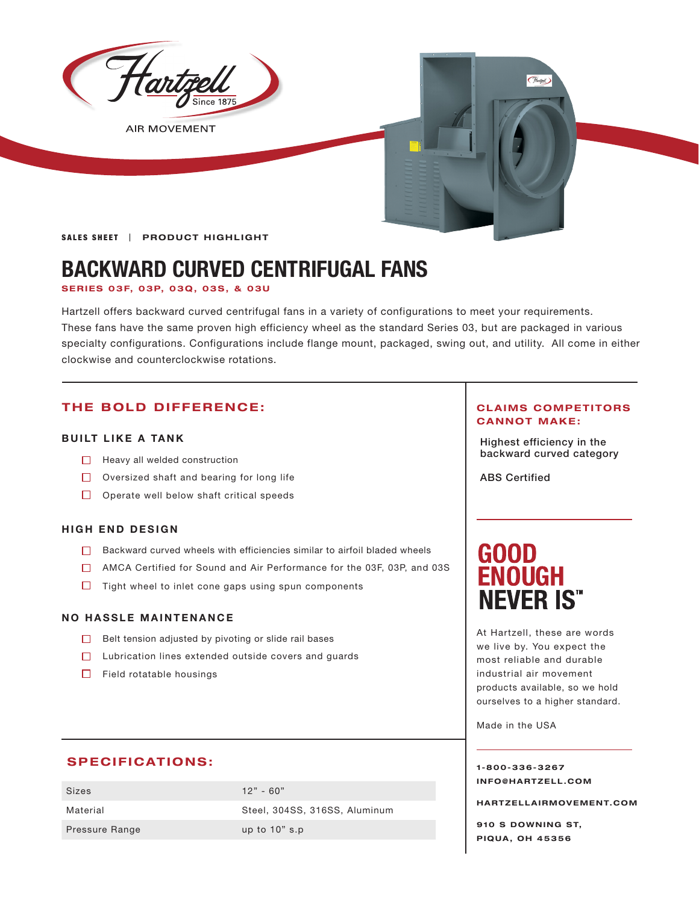

# **BACKWARD CURVED CENTRIFUGAL FANS**

**SER IES 03 F, 03P, 03Q , 03S , & 03U**

Hartzell offers backward curved centrifugal fans in a variety of configurations to meet your requirements. These fans have the same proven high efficiency wheel as the standard Series 03, but are packaged in various specialty configurations. Configurations include flange mount, packaged, swing out, and utility. All come in either clockwise and counterclockwise rotations.

### **THE BOLD DIFFERENCE:**

#### **BUILT LIKE A TANK**

- □ Heavy all welded construction and the set of the set of the set of the backward curved category
- Oversized shaft and bearing for long life
- $\Box$  Operate well below shaft critical speeds

#### **HIGH END DESIGN**

- Backward curved wheels with efficiencies similar to airfoil bladed wheels
- AMCA Certified for Sound and Air Performance for the 03F, 03P, and 03S
- $\Box$  Tight wheel to inlet cone gaps using spun components

#### **NO HASSLE MAINTENANCE**

- $\Box$  Belt tension adjusted by pivoting or slide rail bases
- $\Box$  Lubrication lines extended outside covers and guards
- $\Box$  Field rotatable housings

#### **SPECIFICATIONS:**

| Sizes                 | $12" - 60"$                   |
|-----------------------|-------------------------------|
| Material              | Steel, 304SS, 316SS, Aluminum |
| <b>Pressure Range</b> | up to $10"$ s.p               |

#### **CLAIMS COMPETITORS CANNOT MAKE:**

Highest efficiency in the

ABS Certified

# GOOD<br>ENOUGH **NEVER IS"**

At Hartzell, these are words we live by. You expect the most reliable and durable industrial air movement products available, so we hold ourselves to a higher standard.

Made in the USA

**1-800-336-3267 I N F O @ H A R T Z E L L . C OM** 

**HARTZELLA IRMOVEMENT.COM**

**910 S DOWNING ST, PIQUA, OH 45356**